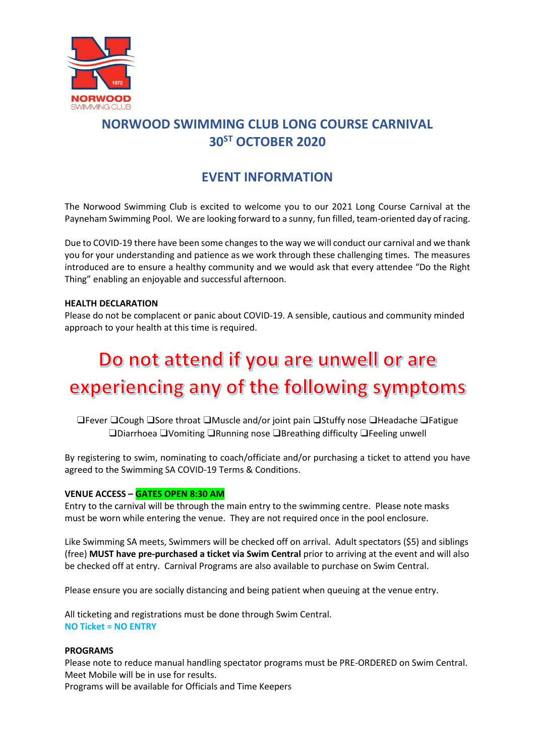

## **NORWOOD SWIMMING CLUB LONG COURSE CARNIVAL 30 ST OCTOBER 2020**

### **EVENT INFORMATION**

The Norwood Swimming Club is excited to welcome you to our 2021 Long Course Carnival at the Payneham Swimming Pool. We are looking forward to a sunny, fun filled, team-oriented day of racing.

Due to COVID-19 there have been some changes to the way we will conduct our carnival and we thank you for your understanding and patience as we work through these challenging times. The measures introduced are to ensure a healthy community and we would ask that every attendee "Do the Right Thing" enabling an enjoyable and successful afternoon.

#### **HEALTH DECLARATION**

Please do not be complacent or panic about COVID-19. A sensible, cautious and community minded approach to your health at this time is required.

# Do not attend if you are unwell or are experiencing any of the following symptoms

❑Fever ❑Cough ❑Sore throat ❑Muscle and/or joint pain ❑Stuffy nose ❑Headache ❑Fatigue ❑Diarrhoea ❑Vomiting ❑Running nose ❑Breathing difficulty ❑Feeling unwell

By registering to swim, nominating to coach/officiate and/or purchasing a ticket to attend you have agreed to the Swimming SA COVID-19 Terms & Conditions.

#### **VENUE ACCESS – GATES OPEN 8:30 AM**

Entry to the carnival will be through the main entry to the swimming centre. Please note masks must be worn while entering the venue. They are not required once in the pool enclosure.

Like Swimming SA meets, Swimmers will be checked off on arrival. Adult spectators (\$5) and siblings (free) **MUST have pre-purchased a ticket via Swim Central** prior to arriving at the event and will also be checked off at entry. Carnival Programs are also available to purchase on Swim Central.

Please ensure you are socially distancing and being patient when queuing at the venue entry.

All ticketing and registrations must be done through Swim Central. **NO Ticket = NO ENTRY**

#### **PROGRAMS**

Please note to reduce manual handling spectator programs must be PRE-ORDERED on Swim Central. Meet Mobile will be in use for results.

Programs will be available for Officials and Time Keepers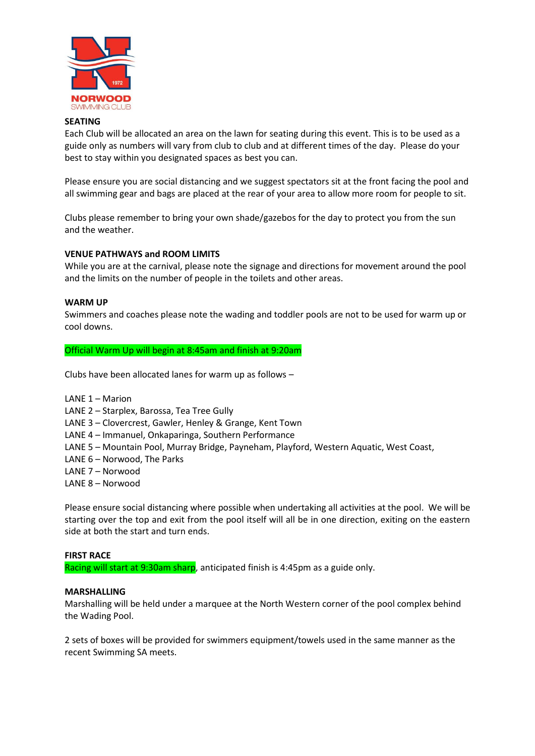

#### **SEATING**

Each Club will be allocated an area on the lawn for seating during this event. This is to be used as a guide only as numbers will vary from club to club and at different times of the day. Please do your best to stay within you designated spaces as best you can.

Please ensure you are social distancing and we suggest spectators sit at the front facing the pool and all swimming gear and bags are placed at the rear of your area to allow more room for people to sit.

Clubs please remember to bring your own shade/gazebos for the day to protect you from the sun and the weather.

#### **VENUE PATHWAYS and ROOM LIMITS**

While you are at the carnival, please note the signage and directions for movement around the pool and the limits on the number of people in the toilets and other areas.

#### **WARM UP**

Swimmers and coaches please note the wading and toddler pools are not to be used for warm up or cool downs.

Official Warm Up will begin at 8:45am and finish at 9:20am

Clubs have been allocated lanes for warm up as follows –

LANE 1 – Marion

LANE 2 – Starplex, Barossa, Tea Tree Gully

LANE 3 – Clovercrest, Gawler, Henley & Grange, Kent Town

LANE 4 – Immanuel, Onkaparinga, Southern Performance

- LANE 5 Mountain Pool, Murray Bridge, Payneham, Playford, Western Aquatic, West Coast,
- LANE 6 Norwood, The Parks
- LANE 7 Norwood
- LANE 8 Norwood

Please ensure social distancing where possible when undertaking all activities at the pool. We will be starting over the top and exit from the pool itself will all be in one direction, exiting on the eastern side at both the start and turn ends.

#### **FIRST RACE**

Racing will start at 9:30am sharp, anticipated finish is 4:45pm as a guide only.

#### **MARSHALLING**

Marshalling will be held under a marquee at the North Western corner of the pool complex behind the Wading Pool.

2 sets of boxes will be provided for swimmers equipment/towels used in the same manner as the recent Swimming SA meets.